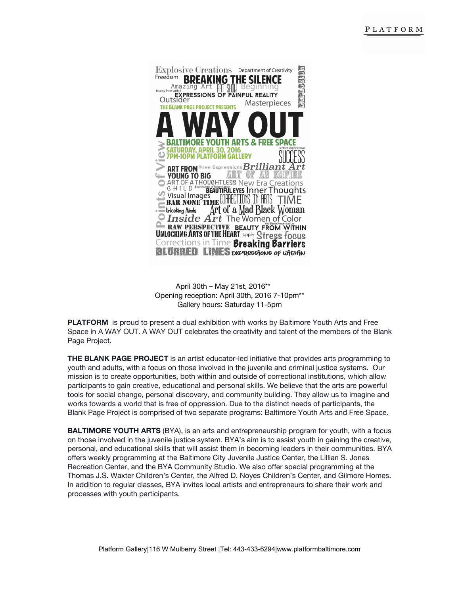

April 30th – May 21st, 2016\*\* Opening reception: April 30th, 2016 7-10pm\*\* Gallery hours: Saturday 11-5pm

**PLATFORM** is proud to present a dual exhibition with works by Baltimore Youth Arts and Free Space in A WAY OUT. A WAY OUT celebrates the creativity and talent of the members of the Blank Page Project.

**THE BLANK PAGE PROJECT**is an artist educator-led initiative that provides arts programming to youth and adults, with a focus on those involved in the juvenile and criminal justice systems. Our mission is to create opportunities, both within and outside of correctional institutions, which allow participants to gain creative, educational and personal skills. We believe that the arts are powerful tools for social change, personal discovery, and community building. They allow us to imagine and works towards a world that is free of oppression. Due to the distinct needs of participants, the Blank Page Project is comprised of two separate programs: Baltimore Youth Arts and Free Space.

**BALTIMORE YOUTH ARTS**(BYA), is an arts and entrepreneurship program for youth, with a focus on those involved in the juvenile justice system. BYA's aim is to assist youth in gaining the creative, personal, and educational skills that will assist them in becoming leaders in their communities. BYA offers weekly programming at the Baltimore City Juvenile Justice Center, the Lillian S. Jones Recreation Center, and the BYA Community Studio. We also offer special programming at the Thomas J.S. Waxter Children's Center, the Alfred D. Noyes Children's Center, and Gilmore Homes. In addition to regular classes, BYA invites local artists and entrepreneurs to share their work and processes with youth participants.